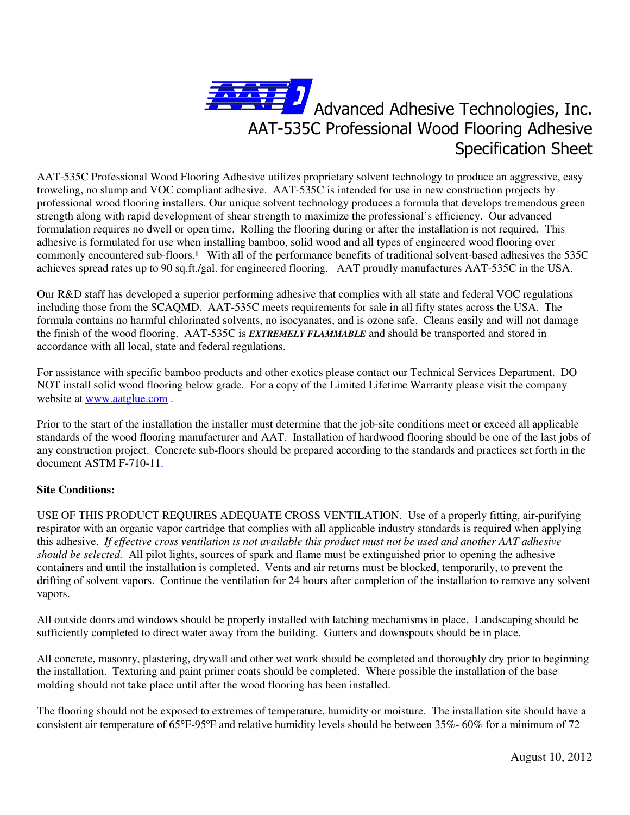

AAT-535C Professional Wood Flooring Adhesive utilizes proprietary solvent technology to produce an aggressive, easy troweling, no slump and VOC compliant adhesive. AAT-535C is intended for use in new construction projects by professional wood flooring installers. Our unique solvent technology produces a formula that develops tremendous green strength along with rapid development of shear strength to maximize the professional's efficiency. Our advanced formulation requires no dwell or open time. Rolling the flooring during or after the installation is not required. This adhesive is formulated for use when installing bamboo, solid wood and all types of engineered wood flooring over commonly encountered sub-floors.<sup>1</sup> With all of the performance benefits of traditional solvent-based adhesives the 535C achieves spread rates up to 90 sq.ft./gal. for engineered flooring. AAT proudly manufactures AAT-535C in the USA.

Our R&D staff has developed a superior performing adhesive that complies with all state and federal VOC regulations including those from the SCAQMD. AAT-535C meets requirements for sale in all fifty states across the USA. The formula contains no harmful chlorinated solvents, no isocyanates, and is ozone safe. Cleans easily and will not damage the finish of the wood flooring. AAT-535C is *EXTREMELY FLAMMABLE* and should be transported and stored in accordance with all local, state and federal regulations.

For assistance with specific bamboo products and other exotics please contact our Technical Services Department. DO NOT install solid wood flooring below grade. For a copy of the Limited Lifetime Warranty please visit the company website at www.aatglue.com .

Prior to the start of the installation the installer must determine that the job-site conditions meet or exceed all applicable standards of the wood flooring manufacturer and AAT. Installation of hardwood flooring should be one of the last jobs of any construction project. Concrete sub-floors should be prepared according to the standards and practices set forth in the document ASTM F-710-11.

# **Site Conditions:**

USE OF THIS PRODUCT REQUIRES ADEQUATE CROSS VENTILATION. Use of a properly fitting, air-purifying respirator with an organic vapor cartridge that complies with all applicable industry standards is required when applying this adhesive. *If effective cross ventilation is not available this product must not be used and another AAT adhesive should be selected.* All pilot lights, sources of spark and flame must be extinguished prior to opening the adhesive containers and until the installation is completed. Vents and air returns must be blocked, temporarily, to prevent the drifting of solvent vapors. Continue the ventilation for 24 hours after completion of the installation to remove any solvent vapors.

All outside doors and windows should be properly installed with latching mechanisms in place. Landscaping should be sufficiently completed to direct water away from the building. Gutters and downspouts should be in place.

All concrete, masonry, plastering, drywall and other wet work should be completed and thoroughly dry prior to beginning the installation. Texturing and paint primer coats should be completed. Where possible the installation of the base molding should not take place until after the wood flooring has been installed.

The flooring should not be exposed to extremes of temperature, humidity or moisture. The installation site should have a consistent air temperature of 65°F-95ºF and relative humidity levels should be between 35%- 60% for a minimum of 72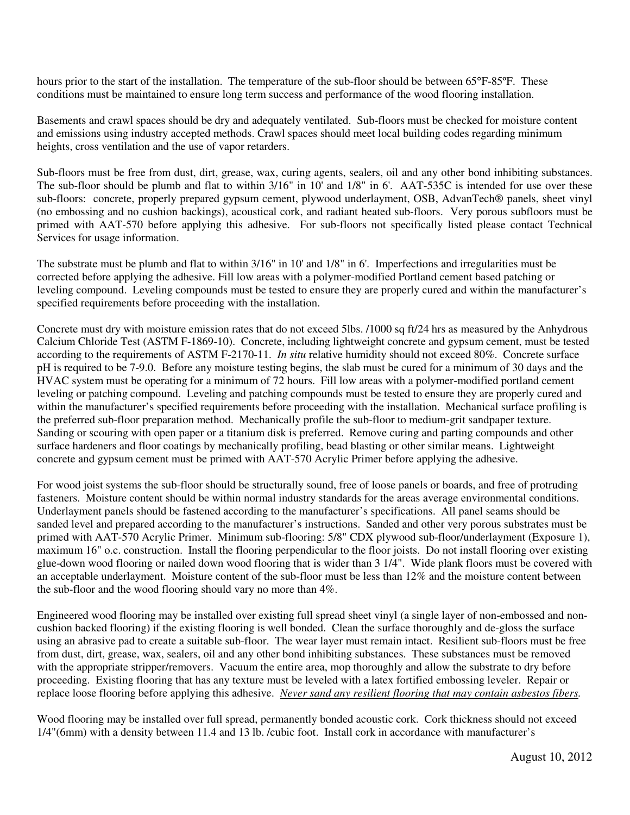hours prior to the start of the installation. The temperature of the sub-floor should be between 65°F-85°F. These conditions must be maintained to ensure long term success and performance of the wood flooring installation.

Basements and crawl spaces should be dry and adequately ventilated. Sub-floors must be checked for moisture content and emissions using industry accepted methods. Crawl spaces should meet local building codes regarding minimum heights, cross ventilation and the use of vapor retarders.

Sub-floors must be free from dust, dirt, grease, wax, curing agents, sealers, oil and any other bond inhibiting substances. The sub-floor should be plumb and flat to within 3/16" in 10' and 1/8" in 6'. AAT-535C is intended for use over these sub-floors: concrete, properly prepared gypsum cement, plywood underlayment, OSB, AdvanTech® panels, sheet vinyl (no embossing and no cushion backings), acoustical cork, and radiant heated sub-floors. Very porous subfloors must be primed with AAT-570 before applying this adhesive. For sub-floors not specifically listed please contact Technical Services for usage information.

The substrate must be plumb and flat to within 3/16" in 10' and 1/8" in 6'. Imperfections and irregularities must be corrected before applying the adhesive. Fill low areas with a polymer-modified Portland cement based patching or leveling compound. Leveling compounds must be tested to ensure they are properly cured and within the manufacturer's specified requirements before proceeding with the installation.

Concrete must dry with moisture emission rates that do not exceed 5lbs. /1000 sq ft/24 hrs as measured by the Anhydrous Calcium Chloride Test (ASTM F-1869-10). Concrete, including lightweight concrete and gypsum cement, must be tested according to the requirements of ASTM F-2170-11. *In situ* relative humidity should not exceed 80%. Concrete surface pH is required to be 7-9.0. Before any moisture testing begins, the slab must be cured for a minimum of 30 days and the HVAC system must be operating for a minimum of 72 hours. Fill low areas with a polymer-modified portland cement leveling or patching compound. Leveling and patching compounds must be tested to ensure they are properly cured and within the manufacturer's specified requirements before proceeding with the installation. Mechanical surface profiling is the preferred sub-floor preparation method. Mechanically profile the sub-floor to medium-grit sandpaper texture. Sanding or scouring with open paper or a titanium disk is preferred. Remove curing and parting compounds and other surface hardeners and floor coatings by mechanically profiling, bead blasting or other similar means. Lightweight concrete and gypsum cement must be primed with AAT-570 Acrylic Primer before applying the adhesive.

For wood joist systems the sub-floor should be structurally sound, free of loose panels or boards, and free of protruding fasteners. Moisture content should be within normal industry standards for the areas average environmental conditions. Underlayment panels should be fastened according to the manufacturer's specifications. All panel seams should be sanded level and prepared according to the manufacturer's instructions. Sanded and other very porous substrates must be primed with AAT-570 Acrylic Primer. Minimum sub-flooring: 5/8" CDX plywood sub-floor/underlayment (Exposure 1), maximum 16" o.c. construction. Install the flooring perpendicular to the floor joists. Do not install flooring over existing glue-down wood flooring or nailed down wood flooring that is wider than 3 1/4". Wide plank floors must be covered with an acceptable underlayment. Moisture content of the sub-floor must be less than 12% and the moisture content between the sub-floor and the wood flooring should vary no more than 4%.

Engineered wood flooring may be installed over existing full spread sheet vinyl (a single layer of non-embossed and noncushion backed flooring) if the existing flooring is well bonded. Clean the surface thoroughly and de-gloss the surface using an abrasive pad to create a suitable sub-floor. The wear layer must remain intact. Resilient sub-floors must be free from dust, dirt, grease, wax, sealers, oil and any other bond inhibiting substances. These substances must be removed with the appropriate stripper/removers. Vacuum the entire area, mop thoroughly and allow the substrate to dry before proceeding. Existing flooring that has any texture must be leveled with a latex fortified embossing leveler. Repair or replace loose flooring before applying this adhesive. *Never sand any resilient flooring that may contain asbestos fibers.* 

Wood flooring may be installed over full spread, permanently bonded acoustic cork. Cork thickness should not exceed 1/4"(6mm) with a density between 11.4 and 13 lb. /cubic foot. Install cork in accordance with manufacturer's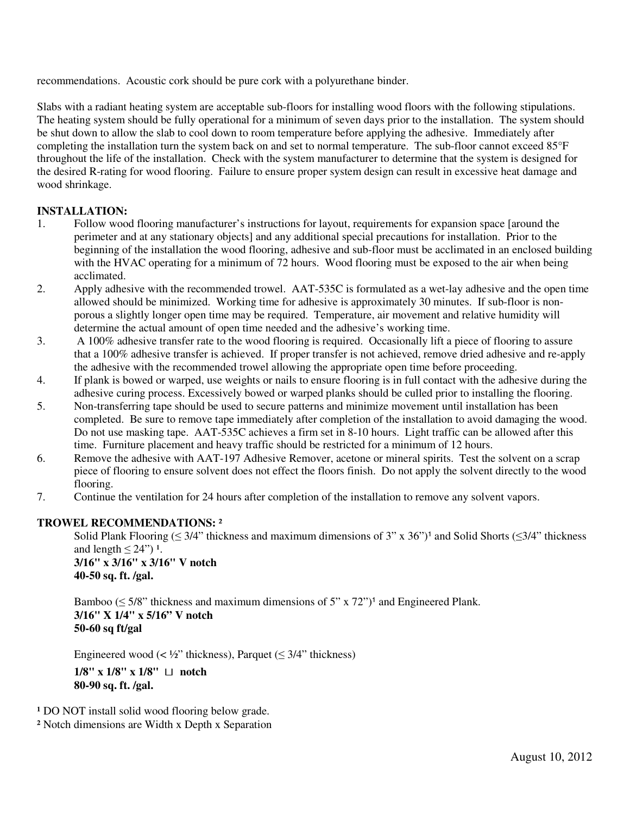recommendations. Acoustic cork should be pure cork with a polyurethane binder.

Slabs with a radiant heating system are acceptable sub-floors for installing wood floors with the following stipulations. The heating system should be fully operational for a minimum of seven days prior to the installation. The system should be shut down to allow the slab to cool down to room temperature before applying the adhesive. Immediately after completing the installation turn the system back on and set to normal temperature. The sub-floor cannot exceed 85°F throughout the life of the installation. Check with the system manufacturer to determine that the system is designed for the desired R-rating for wood flooring. Failure to ensure proper system design can result in excessive heat damage and wood shrinkage.

# **INSTALLATION:**

- 1. Follow wood flooring manufacturer's instructions for layout, requirements for expansion space [around the perimeter and at any stationary objects] and any additional special precautions for installation. Prior to the beginning of the installation the wood flooring, adhesive and sub-floor must be acclimated in an enclosed building with the HVAC operating for a minimum of 72 hours. Wood flooring must be exposed to the air when being acclimated.
- 2. Apply adhesive with the recommended trowel. AAT-535C is formulated as a wet-lay adhesive and the open time allowed should be minimized. Working time for adhesive is approximately 30 minutes. If sub-floor is nonporous a slightly longer open time may be required. Temperature, air movement and relative humidity will determine the actual amount of open time needed and the adhesive's working time.
- 3. A 100% adhesive transfer rate to the wood flooring is required. Occasionally lift a piece of flooring to assure that a 100% adhesive transfer is achieved. If proper transfer is not achieved, remove dried adhesive and re-apply the adhesive with the recommended trowel allowing the appropriate open time before proceeding.
- 4. If plank is bowed or warped, use weights or nails to ensure flooring is in full contact with the adhesive during the adhesive curing process. Excessively bowed or warped planks should be culled prior to installing the flooring.
- 5. Non-transferring tape should be used to secure patterns and minimize movement until installation has been completed. Be sure to remove tape immediately after completion of the installation to avoid damaging the wood. Do not use masking tape. AAT-535C achieves a firm set in 8-10 hours. Light traffic can be allowed after this time. Furniture placement and heavy traffic should be restricted for a minimum of 12 hours.
- 6. Remove the adhesive with AAT-197 Adhesive Remover, acetone or mineral spirits. Test the solvent on a scrap piece of flooring to ensure solvent does not effect the floors finish. Do not apply the solvent directly to the wood flooring.
- 7. Continue the ventilation for 24 hours after completion of the installation to remove any solvent vapors.

# **TROWEL RECOMMENDATIONS:** ²

Solid Plank Flooring ( $\leq 3/4$ " thickness and maximum dimensions of 3" x 36")<sup>1</sup> and Solid Shorts ( $\leq 3/4$ " thickness and length  $\leq 24$ ")<sup>1</sup>.

**3/16" x 3/16" x 3/16" V notch 40-50 sq. ft. /gal.** 

Bamboo ( $\leq$  5/8" thickness and maximum dimensions of 5" x 72")<sup>1</sup> and Engineered Plank.  **3/16" X 1/4" x 5/16" V notch 50-60 sq ft/gal** 

Engineered wood (<  $\frac{1}{2}$ " thickness), Parquet ( $\leq$  3/4" thickness)

 **1/8" x 1/8" x 1/8"** <sup>⊔</sup> **notch 80-90 sq. ft. /gal.** 

<sup>1</sup> DO NOT install solid wood flooring below grade.

**²** Notch dimensions are Width x Depth x Separation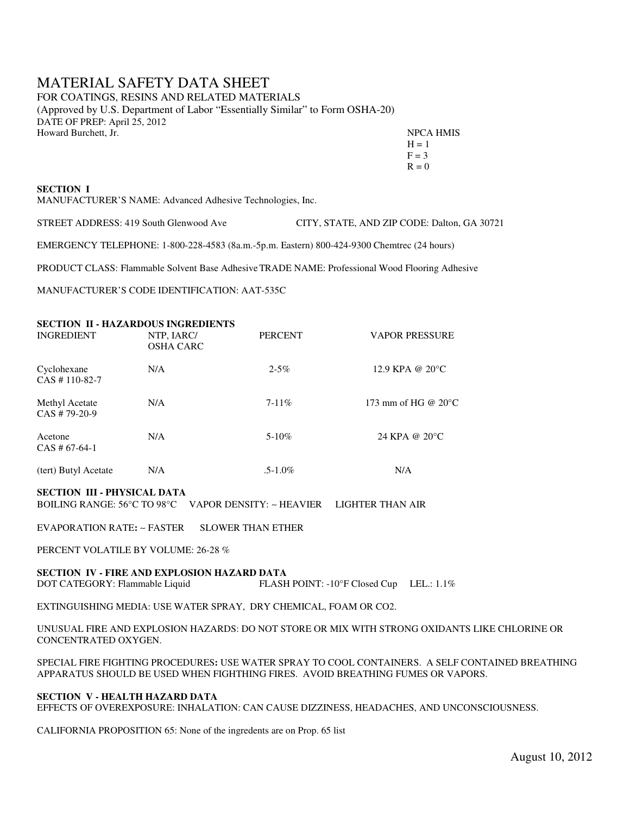# MATERIAL SAFETY DATA SHEET

FOR COATINGS, RESINS AND RELATED MATERIALS (Approved by U.S. Department of Labor "Essentially Similar" to Form OSHA-20) DATE OF PREP: April 25, 2012 Howard Burchett, Jr. NPCA HMIS

| Howard Burchett, Jr. | <b>NPCA HM</b> |
|----------------------|----------------|
|                      | $H = 1$        |
|                      | $F = 3$        |
|                      | $R = 0$        |

## **SECTION I**

MANUFACTURER'S NAME: Advanced Adhesive Technologies, Inc.

STREET ADDRESS: 419 South Glenwood AveCITY, STATE, AND ZIP CODE: Dalton, GA 30721

EMERGENCY TELEPHONE: 1-800-228-4583 (8a.m.-5p.m. Eastern) 800-424-9300 Chemtrec (24 hours)

PRODUCT CLASS: Flammable Solvent Base Adhesive TRADE NAME: Professional Wood Flooring Adhesive

MANUFACTURER'S CODE IDENTIFICATION: AAT-535C

| <b>INGREDIENT</b>                 | <b>SECTION II - HAZARDOUS INGREDIENTS</b><br>NTP, IARC/<br><b>OSHA CARC</b> | <b>PERCENT</b> | <b>VAPOR PRESSURE</b>         |
|-----------------------------------|-----------------------------------------------------------------------------|----------------|-------------------------------|
| Cyclohexane<br>$CAS # 110-82-7$   | N/A                                                                         | $2 - 5\%$      | 12.9 KPA @ 20°C               |
| Methyl Acetate<br>$CAS # 79-20-9$ | N/A                                                                         | $7 - 11\%$     | 173 mm of HG @ $20^{\circ}$ C |
| Acetone<br>$CAS # 67-64-1$        | N/A                                                                         | $5-10\%$       | 24 KPA @ 20°C                 |
| (tert) Butyl Acetate              | N/A                                                                         | $.5 - 1.0\%$   | N/A                           |

#### **SECTION III - PHYSICAL DATA**

BOILING RANGE: 56°C TO 98°C VAPOR DENSITY: ∼ HEAVIER LIGHTER THAN AIR

EVAPORATION RATE**:** ∼ FASTER SLOWER THAN ETHER

PERCENT VOLATILE BY VOLUME: 26-28 %

#### **SECTION IV - FIRE AND EXPLOSION HAZARD DATA**  DOT CATEGORY: Flammable Liquid FLASH POINT: -10°F Closed Cup LEL.: 1.1%

EXTINGUISHING MEDIA: USE WATER SPRAY, DRY CHEMICAL, FOAM OR CO2.

UNUSUAL FIRE AND EXPLOSION HAZARDS: DO NOT STORE OR MIX WITH STRONG OXIDANTS LIKE CHLORINE OR CONCENTRATED OXYGEN.

SPECIAL FIRE FIGHTING PROCEDURES**:** USE WATER SPRAY TO COOL CONTAINERS. A SELF CONTAINED BREATHING APPARATUS SHOULD BE USED WHEN FIGHTHING FIRES. AVOID BREATHING FUMES OR VAPORS.

## **SECTION V - HEALTH HAZARD DATA**

EFFECTS OF OVEREXPOSURE: INHALATION: CAN CAUSE DIZZINESS, HEADACHES, AND UNCONSCIOUSNESS.

CALIFORNIA PROPOSITION 65: None of the ingredents are on Prop. 65 list